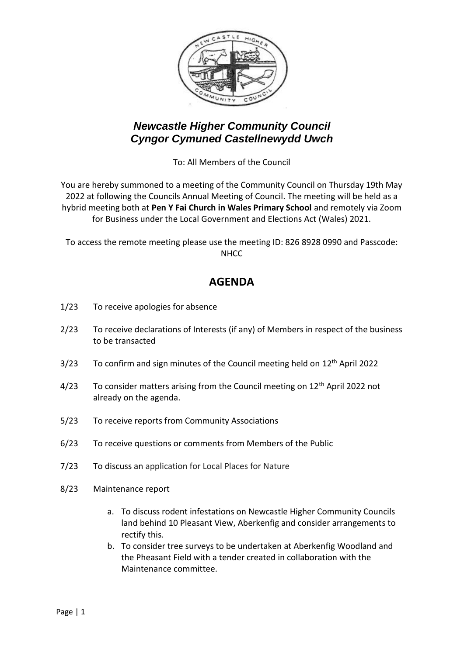

## *Newcastle Higher Community Council Cyngor Cymuned Castellnewydd Uwch*

To: All Members of the Council

You are hereby summoned to a meeting of the Community Council on Thursday 19th May 2022 at following the Councils Annual Meeting of Council. The meeting will be held as a hybrid meeting both at **Pen Y Fai Church in Wales Primary School** and remotely via Zoom for Business under the Local Government and Elections Act (Wales) 2021.

To access the remote meeting please use the meeting ID: 826 8928 0990 and Passcode: NHCC

## **AGENDA**

- 1/23 To receive apologies for absence
- 2/23 To receive declarations of Interests (if any) of Members in respect of the business to be transacted
- $3/23$  To confirm and sign minutes of the Council meeting held on  $12<sup>th</sup>$  April 2022
- 4/23 To consider matters arising from the Council meeting on 12<sup>th</sup> April 2022 not already on the agenda.
- 5/23 To receive reports from Community Associations
- 6/23 To receive questions or comments from Members of the Public
- 7/23 To discuss an application for Local Places for Nature
- 8/23 Maintenance report
	- a. To discuss rodent infestations on Newcastle Higher Community Councils land behind 10 Pleasant View, Aberkenfig and consider arrangements to rectify this.
	- b. To consider tree surveys to be undertaken at Aberkenfig Woodland and the Pheasant Field with a tender created in collaboration with the Maintenance committee.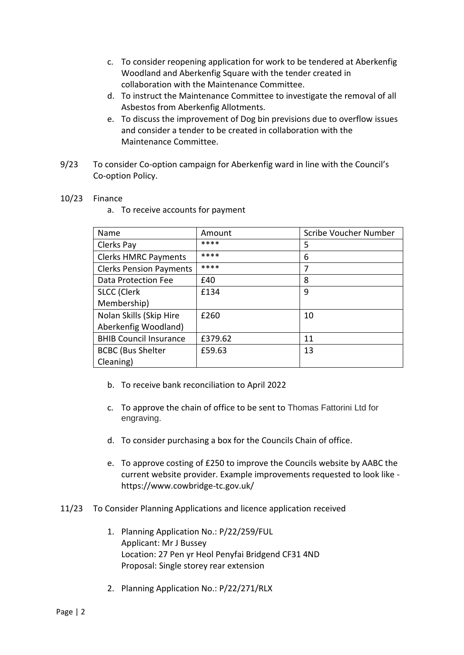- c. To consider reopening application for work to be tendered at Aberkenfig Woodland and Aberkenfig Square with the tender created in collaboration with the Maintenance Committee.
- d. To instruct the Maintenance Committee to investigate the removal of all Asbestos from Aberkenfig Allotments.
- e. To discuss the improvement of Dog bin previsions due to overflow issues and consider a tender to be created in collaboration with the Maintenance Committee.
- 9/23 To consider Co-option campaign for Aberkenfig ward in line with the Council's Co-option Policy.

## 10/23 Finance

a. To receive accounts for payment

| Name                           | Amount  | Scribe Voucher Number |
|--------------------------------|---------|-----------------------|
| Clerks Pay                     | ****    | 5                     |
| <b>Clerks HMRC Payments</b>    | ****    | 6                     |
| <b>Clerks Pension Payments</b> | ****    | 7                     |
| Data Protection Fee            | £40     | 8                     |
| <b>SLCC</b> (Clerk             | £134    | 9                     |
| Membership)                    |         |                       |
| Nolan Skills (Skip Hire        | £260    | 10                    |
| Aberkenfig Woodland)           |         |                       |
| <b>BHIB Council Insurance</b>  | £379.62 | 11                    |
| <b>BCBC (Bus Shelter</b>       | £59.63  | 13                    |
| Cleaning)                      |         |                       |

- b. To receive bank reconciliation to April 2022
- c. To approve the chain of office to be sent to Thomas Fattorini Ltd for engraving.
- d. To consider purchasing a box for the Councils Chain of office.
- e. To approve costing of £250 to improve the Councils website by AABC the current website provider. Example improvements requested to look like https://www.cowbridge-tc.gov.uk/
- 11/23 To Consider Planning Applications and licence application received
	- 1. Planning Application No.: P/22/259/FUL Applicant: Mr J Bussey Location: 27 Pen yr Heol Penyfai Bridgend CF31 4ND Proposal: Single storey rear extension
	- 2. Planning Application No.: P/22/271/RLX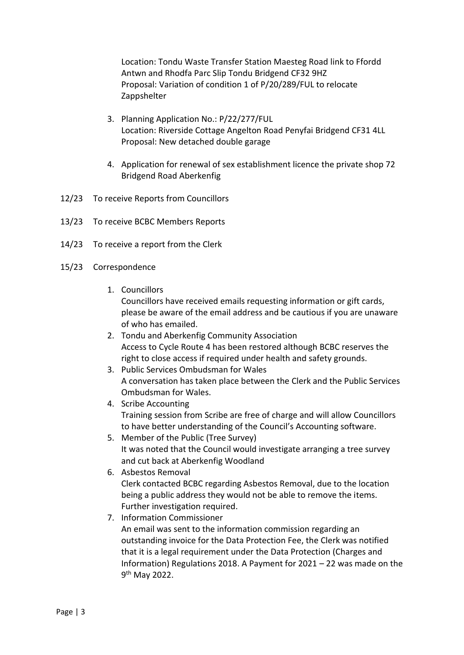Location: Tondu Waste Transfer Station Maesteg Road link to Ffordd Antwn and Rhodfa Parc Slip Tondu Bridgend CF32 9HZ Proposal: Variation of condition 1 of P/20/289/FUL to relocate Zappshelter

- 3. Planning Application No.: P/22/277/FUL Location: Riverside Cottage Angelton Road Penyfai Bridgend CF31 4LL Proposal: New detached double garage
- 4. Application for renewal of sex establishment licence the private shop 72 Bridgend Road Aberkenfig
- 12/23 To receive Reports from Councillors
- 13/23 To receive BCBC Members Reports
- 14/23 To receive a report from the Clerk
- 15/23 Correspondence
	- 1. Councillors

Councillors have received emails requesting information or gift cards, please be aware of the email address and be cautious if you are unaware of who has emailed.

- 2. Tondu and Aberkenfig Community Association Access to Cycle Route 4 has been restored although BCBC reserves the right to close access if required under health and safety grounds.
- 3. Public Services Ombudsman for Wales A conversation has taken place between the Clerk and the Public Services Ombudsman for Wales.
- 4. Scribe Accounting Training session from Scribe are free of charge and will allow Councillors to have better understanding of the Council's Accounting software.
- 5. Member of the Public (Tree Survey) It was noted that the Council would investigate arranging a tree survey and cut back at Aberkenfig Woodland
- 6. Asbestos Removal Clerk contacted BCBC regarding Asbestos Removal, due to the location being a public address they would not be able to remove the items. Further investigation required.
- 7. Information Commissioner An email was sent to the information commission regarding an outstanding invoice for the Data Protection Fee, the Clerk was notified that it is a legal requirement under the Data Protection (Charges and Information) Regulations 2018. A Payment for 2021 – 22 was made on the 9<sup>th</sup> May 2022.